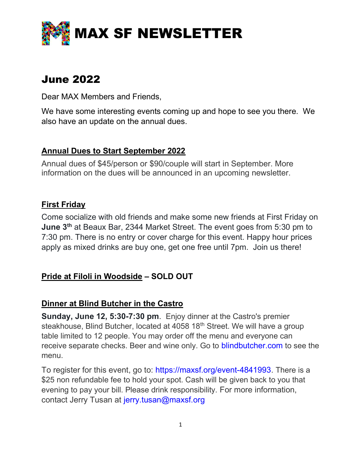

# June 2022

Dear MAX Members and Friends,

We have some interesting events coming up and hope to see you there. We also have an update on the annual dues.

# Annual Dues to Start September 2022

Annual dues of \$45/person or \$90/couple will start in September. More information on the dues will be announced in an upcoming newsletter.

# First Friday

Come socialize with old friends and make some new friends at First Friday on **June 3<sup>th</sup> at Beaux Bar, 2344 Market Street. The event goes from 5:30 pm to** 7:30 pm. There is no entry or cover charge for this event. Happy hour prices apply as mixed drinks are buy one, get one free until 7pm. Join us there!

# Pride at Filoli in Woodside – SOLD OUT

# Dinner at Blind Butcher in the Castro

Sunday, June 12, 5:30-7:30 pm. Enjoy dinner at the Castro's premier steakhouse, Blind Butcher, located at 4058 18<sup>th</sup> Street. We will have a group table limited to 12 people. You may order off the menu and everyone can receive separate checks. Beer and wine only. Go to blindbutcher.com to see the menu.

To register for this event, go to: https://maxsf.org/event-4841993. There is a \$25 non refundable fee to hold your spot. Cash will be given back to you that evening to pay your bill. Please drink responsibility. For more information, contact Jerry Tusan at jerry.tusan@maxsf.org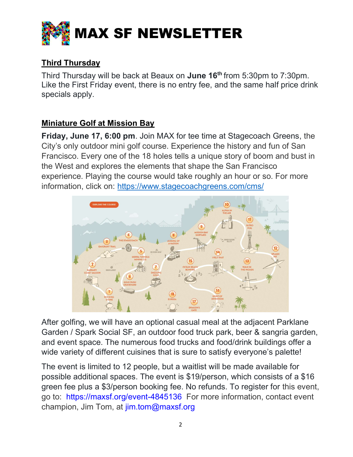

# Third Thursday

Third Thursday will be back at Beaux on June 16<sup>th</sup> from 5:30pm to 7:30pm. Like the First Friday event, there is no entry fee, and the same half price drink specials apply.

# Miniature Golf at Mission Bay

Friday, June 17, 6:00 pm. Join MAX for tee time at Stagecoach Greens, the City's only outdoor mini golf course. Experience the history and fun of San Francisco. Every one of the 18 holes tells a unique story of boom and bust in the West and explores the elements that shape the San Francisco experience. Playing the course would take roughly an hour or so. For more information, click on: https://www.stagecoachgreens.com/cms/



After golfing, we will have an optional casual meal at the adjacent Parklane Garden / Spark Social SF, an outdoor food truck park, beer & sangria garden, and event space. The numerous food trucks and food/drink buildings offer a wide variety of different cuisines that is sure to satisfy everyone's palette!

The event is limited to 12 people, but a waitlist will be made available for possible additional spaces. The event is \$19/person, which consists of a \$16 green fee plus a \$3/person booking fee. No refunds. To register for this event, go to: https://maxsf.org/event-4845136 For more information, contact event champion, Jim Tom, at jim.tom@maxsf.org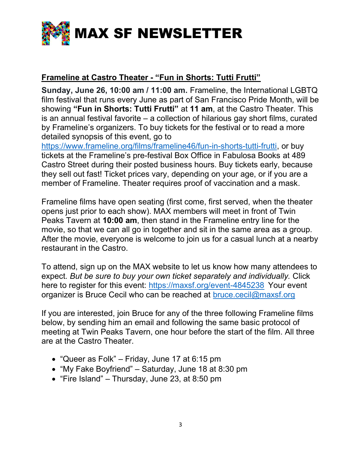

#### Frameline at Castro Theater - "Fun in Shorts: Tutti Frutti"

Sunday, June 26, 10:00 am / 11:00 am. Frameline, the International LGBTQ film festival that runs every June as part of San Francisco Pride Month, will be showing "Fun in Shorts: Tutti Frutti" at 11 am, at the Castro Theater. This is an annual festival favorite – a collection of hilarious gay short films, curated by Frameline's organizers. To buy tickets for the festival or to read a more detailed synopsis of this event, go to

https://www.frameline.org/films/frameline46/fun-in-shorts-tutti-frutti, or buy tickets at the Frameline's pre-festival Box Office in Fabulosa Books at 489 Castro Street during their posted business hours. Buy tickets early, because they sell out fast! Ticket prices vary, depending on your age, or if you are a member of Frameline. Theater requires proof of vaccination and a mask.

Frameline films have open seating (first come, first served, when the theater opens just prior to each show). MAX members will meet in front of Twin Peaks Tavern at 10:00 am, then stand in the Frameline entry line for the movie, so that we can all go in together and sit in the same area as a group. After the movie, everyone is welcome to join us for a casual lunch at a nearby restaurant in the Castro.

To attend, sign up on the MAX website to let us know how many attendees to expect. But be sure to buy your own ticket separately and individually. Click here to register for this event: https://maxsf.org/event-4845238 Your event organizer is Bruce Cecil who can be reached at bruce.cecil@maxsf.org

If you are interested, join Bruce for any of the three following Frameline films below, by sending him an email and following the same basic protocol of meeting at Twin Peaks Tavern, one hour before the start of the film. All three are at the Castro Theater.

- "Queer as Folk" Friday, June 17 at 6:15 pm
- "My Fake Boyfriend" Saturday, June 18 at 8:30 pm
- "Fire Island" Thursday, June 23, at 8:50 pm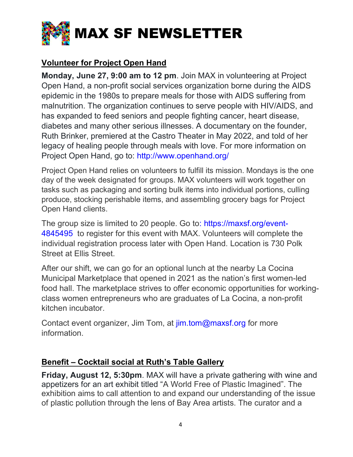

# Volunteer for Project Open Hand

Monday, June 27, 9:00 am to 12 pm. Join MAX in volunteering at Project Open Hand, a non-profit social services organization borne during the AIDS epidemic in the 1980s to prepare meals for those with AIDS suffering from malnutrition. The organization continues to serve people with HIV/AIDS, and has expanded to feed seniors and people fighting cancer, heart disease, diabetes and many other serious illnesses. A documentary on the founder, Ruth Brinker, premiered at the Castro Theater in May 2022, and told of her legacy of healing people through meals with love. For more information on Project Open Hand, go to: http://www.openhand.org/

Project Open Hand relies on volunteers to fulfill its mission. Mondays is the one day of the week designated for groups. MAX volunteers will work together on tasks such as packaging and sorting bulk items into individual portions, culling produce, stocking perishable items, and assembling grocery bags for Project Open Hand clients.

The group size is limited to 20 people. Go to: https://maxsf.org/event-4845495 to register for this event with MAX. Volunteers will complete the individual registration process later with Open Hand. Location is 730 Polk Street at Ellis Street.

After our shift, we can go for an optional lunch at the nearby La Cocina Municipal Marketplace that opened in 2021 as the nation's first women-led food hall. The marketplace strives to offer economic opportunities for workingclass women entrepreneurs who are graduates of La Cocina, a non-profit kitchen incubator.

Contact event organizer, Jim Tom, at jim.tom@maxsf.org for more information.

# Benefit – Cocktail social at Ruth's Table Gallery

Friday, August 12, 5:30pm. MAX will have a private gathering with wine and appetizers for an art exhibit titled "A World Free of Plastic Imagined". The exhibition aims to call attention to and expand our understanding of the issue of plastic pollution through the lens of Bay Area artists. The curator and a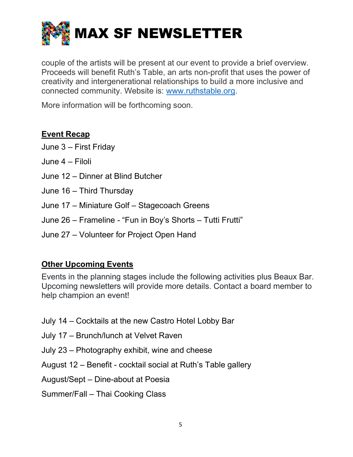

couple of the artists will be present at our event to provide a brief overview. Proceeds will benefit Ruth's Table, an arts non-profit that uses the power of creativity and intergenerational relationships to build a more inclusive and connected community. Website is: www.ruthstable.org.

More information will be forthcoming soon.

#### Event Recap

- June 3 First Friday
- June 4 Filoli
- June 12 Dinner at Blind Butcher
- June 16 Third Thursday
- June 17 Miniature Golf Stagecoach Greens
- June 26 Frameline "Fun in Boy's Shorts Tutti Frutti"
- June 27 Volunteer for Project Open Hand

# Other Upcoming Events

Events in the planning stages include the following activities plus Beaux Bar. Upcoming newsletters will provide more details. Contact a board member to help champion an event!

- July 14 Cocktails at the new Castro Hotel Lobby Bar
- July 17 Brunch/lunch at Velvet Raven
- July 23 Photography exhibit, wine and cheese
- August 12 Benefit cocktail social at Ruth's Table gallery
- August/Sept Dine-about at Poesia
- Summer/Fall Thai Cooking Class